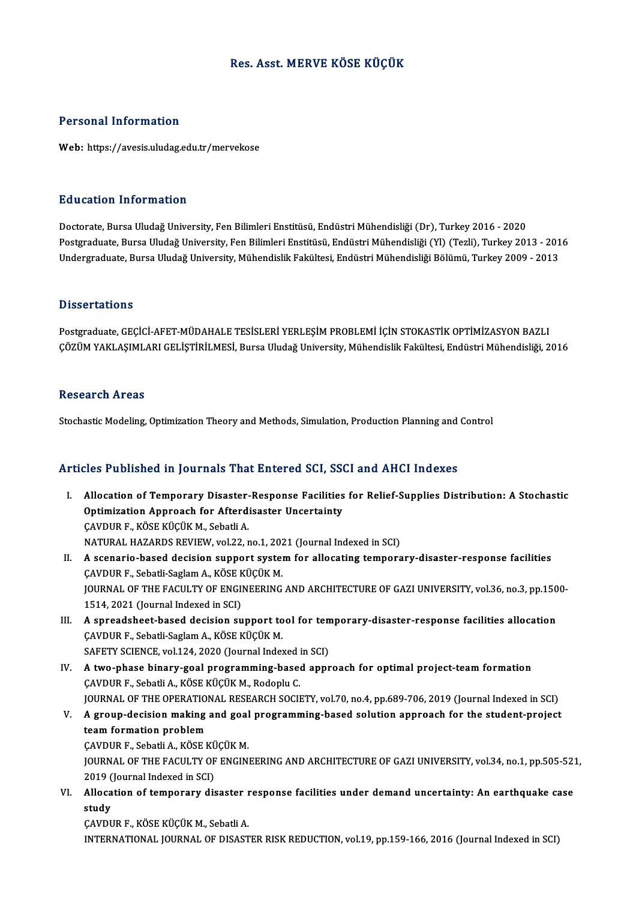# Res. Asst.MERVE KÖSE KÜÇÜK

### Personal Information

Web: https://avesis.uludag.edu.tr/mervekose

### Education Information

Doctorate, Bursa Uludağ University, Fen Bilimleri Enstitüsü, Endüstri Mühendisliği (Dr), Turkey 2016 - 2020 Pu u sustsa Tarror mustsar<br>Doctorate, Bursa Uludağ University, Fen Bilimleri Enstitüsü, Endüstri Mühendisliği (Dr), Turkey 2016 - 2020<br>Undergraduate, Bursa Uludağ University, Fen Bilimleri Enstitüsü, Endüstri Mühendisliği Doctorate, Bursa Uludağ University, Fen Bilimleri Enstitüsü, Endüstri Mühendisliği (Dr), Turkey 2016 - 2020<br>Postgraduate, Bursa Uludağ University, Fen Bilimleri Enstitüsü, Endüstri Mühendisliği (Yl) (Tezli), Turkey 2013 - Undergraduate, Bursa Uludağ University, Mühendislik Fakültesi, Endüstri Mühendisliği Bölümü, Turkey 2009 - 2013<br>Dissertations

Dissertations<br>Postgraduate, GEÇİCİ-AFET-MÜDAHALE TESİSLERİ YERLEŞİM PROBLEMİ İÇİN STOKASTİK OPTİMİZASYON BAZLI<br>GÖZÜM YAKLASIMLARLE İSTİRİLMESİ, Bursa Hudağ University Mühandislik Fakültesi, Endüstri Mühandisliği, 2 L'ISSOI LATISIIS<br>Postgraduate, GEÇİCİ-AFET-MÜDAHALE TESİSLERİ YERLEŞİM PROBLEMİ İÇİN STOKASTİK OPTİMİZASYON BAZLI<br>ÇÖZÜM YAKLAŞIMLARI GELİŞTİRİLMESİ, Bursa Uludağ University, Mühendislik Fakültesi, Endüstri Mühendisliği, 20 ÇÖZÜM YAKLAŞIMLARI GELİŞTİRİLMESİ, Bursa Uludağ University, Mühendislik Fakültesi, Endüstri Mühendisliği, 2016<br>Research Areas

Stochastic Modeling, Optimization Theory and Methods, Simulation, Production Planning and Control

## Articles Published in Journals That Entered SCI, SSCI and AHCI Indexes

- rticles Published in Journals That Entered SCI, SSCI and AHCI Indexes<br>I. Allocation of Temporary Disaster-Response Facilities for Relief-Supplies Distribution: A Stochastic<br>Optimization Approach for Afterdisester Uncertain Allocation of Temporary Disaster-Response Facilities<br>Optimization Approach for Afterdisaster Uncertainty Allocation of Temporary Disaster-<br>Optimization Approach for Afterd:<br>ÇAVDUR F., KÖSE KÜÇÜK M., Sebatli A.<br>MATURAL HAZARDS REVIEW. vol 22. r Optimization Approach for Afterdisaster Uncertainty<br>CAVDUR F., KÖSE KÜÇÜK M., Sebatli A.<br>NATURAL HAZARDS REVIEW, vol.22, no.1, 2021 (Journal Indexed in SCI)<br>A ssenario based desision sunnert system for allegating tempera CAVDUR F., KÖSE KÜÇÜK M., Sebatli A.<br>NATURAL HAZARDS REVIEW, vol.22, no.1, 2021 (Journal Indexed in SCI)<br>II. A scenario-based decision support system for allocating temporary-disaster-response facilities NATURAL HAZARDS REVIEW, vol.22, no.1, 202<br><mark>A scenario-based decision support syst</mark>er<br>ÇAVDUR F., Sebatli-Saglam A., KÖSE KÜÇÜK M.<br>JOUPMAL OF THE FACULTY OF ENCINEERING JOURNAL OF THE FACULTY OF ENGINEERING AND ARCHITECTURE OF GAZI UNIVERSITY, vol.36, no.3, pp.1500-<br>1514, 2021 (Journal Indexed in SCI) ÇAVDUR F., Sebatli-Saglam A., KÖSE KÜÇÜK M. I I. JOURNAL OF THE FACULTY OF ENGINEERING AND ARCHITECTURE OF GAZI UNIVERSITY, vol.36, no.3, pp.150<br>1514, 2021 (Journal Indexed in SCI)<br>III. A spreadsheet-based decision support tool for temporary-disaster-response facili ÇAVDUR F., Sebatli-Saglam A., KÖSE KÜÇÜK M.<br>SAFETY SCIENCE, vol.124, 2020 (Journal Indexed in SCI) A spreadsheet-based decision support tool for tem<br>CAVDUR F., Sebatli-Saglam A., KÖSE KÜÇÜK M.<br>SAFETY SCIENCE, vol.124, 2020 (Journal Indexed in SCI)<br>A two phase binary sool programming based appr IV. A two-phase binary-goal programming-based approach for optimal project-teamformation ÇAVDUR F., Sebatli A., KÖSE KÜÇÜK M., Rodoplu C.
- JOURNAL OF THE OPERATIONAL RESEARCH SOCIETY, vol.70, no.4, pp.689-706, 2019 (Journal Indexed in SCI) CAVDUR F., Sebatli A., KÖSE KÜÇÜK M., Rodoplu C.<br>JOURNAL OF THE OPERATIONAL RESEARCH SOCIETY, vol.70, no.4, pp.689-706, 2019 (Journal Indexed in SCI)<br>V. A group-decision making and goal programming-based solution approach team formation problem A group-decision making and goal<br>team formation problem<br>ÇAVDUR F., Sebatli A., KÖSE KÜÇÜK M.<br>JOUPMAL OF THE FACULTY OF ENCIN CAVDUR F., Sebatli A., KÖSE KÜÇÜK M.

JOURNAL OF THE FACULTY OF ENGINEERING AND ARCHITECTURE OF GAZI UNIVERSITY, vol.34, no.1, pp.505-521, 2019 (Journal Indexed in SCI)

VI. Allocation of temporary disaster response facilities under demand uncertainty: An earthquake case<br>study

ÇAVDUR F., KÖSE KÜÇÜK M., Sebatli A. INTERNATIONAL JOURNALOFDISASTERRISKREDUCTION,vol.19,pp.159-166,2016 (Journal Indexed inSCI)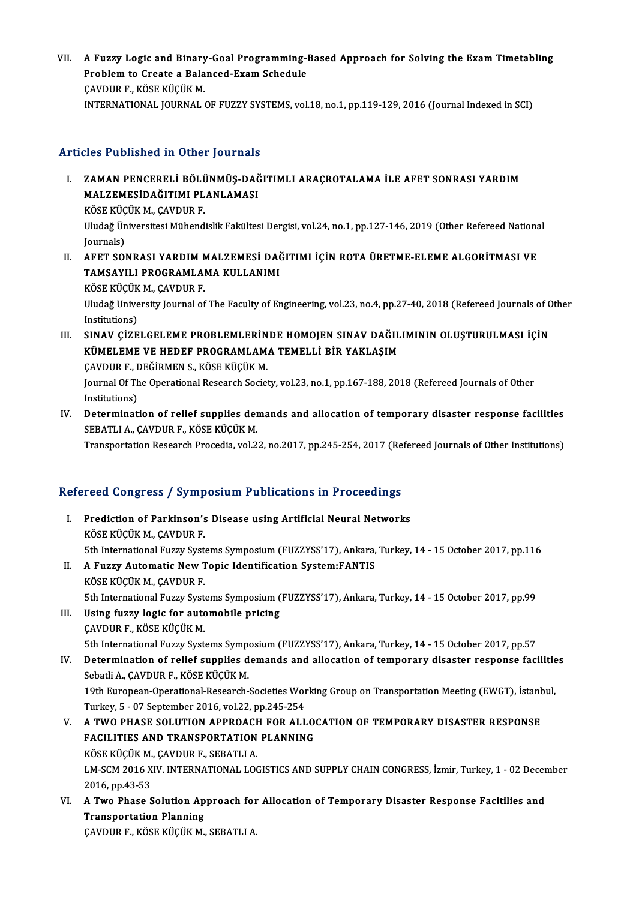VII. A Fuzzy Logic and Binary-Goal Programming-Based Approach for Solving the Exam Timetabling<br>Ruphlam to Create a Balanged Fram Schadule A Fuzzy Logic and Binary-Goal Programming-]<br>Problem to Create a Balanced-Exam Schedule<br>CAVDUR F. KÖSE KÜÇÜK M A Fuzzy Logic and Binary<br>Problem to Create a Bala<br>ÇAVDUR F., KÖSE KÜÇÜK M.<br>INTERMATIONAL JOURNAL Problem to Create a Balanced-Exam Schedule<br>ÇAVDUR F., KÖSE KÜÇÜK M.<br>INTERNATIONAL JOURNAL OF FUZZY SYSTEMS, vol.18, no.1, pp.119-129, 2016 (Journal Indexed in SCI)

# Articles Published in Other Journals

- Tticles Published in Other Journals<br>I. ZAMAN PENCERELİ BÖLÜNMÜŞ-DAĞITIMLI ARAÇROTALAMA İLE AFET SONRASI YARDIM<br>MALZEMESİDAĞITIMLELANLAMASI MOST ASHSHOA IN OTHET JOAT HANS<br>ZAMAN PENCERELİ BÖLÜNMÜŞ-DAĞ<br>MALZEMESİDAĞITIMI PLANLAMASI ZAMAN PENCERELİ BÖL<mark>Ü</mark><br>MALZEMESİDAĞITIMI PL<br>KÖSE KÜÇÜK M.,ÇAVDUR F.<br>Iludağ Üniversitesi Mühand MALZEMESİDAĞITIMI PLANLAMASI<br>KÖSE KÜÇÜK M., ÇAVDUR F.<br>Uludağ Üniversitesi Mühendislik Fakültesi Dergisi, vol.24, no.1, pp.127-146, 2019 (Other Refereed National<br>Journale) KÖSE KÜÇ<br>Uludağ Ün<br>Journals)<br>AEET SOJ Uludağ Üniversitesi Mühendislik Fakültesi Dergisi, vol.24, no.1, pp.127-146, 2019 (Other Refereed Nationa<br>Journals)<br>II. AFET SONRASI YARDIM MALZEMESİ DAĞITIMI İÇİN ROTA ÜRETME-ELEME ALGORİTMASI VE<br>TAMSAYILI PROCRAMLAMA
- Journals)<br>AFET SONRASI YARDIM MALZEMESİ DAĞ<br>TAMSAYILI PROGRAMLAMA KULLANIMI<br>KÖSE KÜÇÜK M. CAVDUP E AFET SONRASI YARDIM N<br>TAMSAYILI PROGRAMLAI<br>KÖSE KÜÇÜK M., ÇAVDUR F.<br>Illudağ University Jaurral of TAMSAYILI PROGRAMLAMA KULLANIMI<br>KÖSE KÜÇÜK M., ÇAVDUR F.<br>Uludağ University Journal of The Faculty of Engineering, vol.23, no.4, pp.27-40, 2018 (Refereed Journals of Other<br>Institutione) KÖSE KÜÇÜK<br>Uludağ Unive<br>Institutions)<br>SINAV GİZE Uludağ University Journal of The Faculty of Engineering, vol.23, no.4, pp.27-40, 2018 (Refereed Journals of C<br>Institutions)<br>III. SINAV ÇİZELGELEME PROBLEMLERİNDE HOMOJEN SINAV DAĞILIMININ OLUŞTURULMASI İÇİN<br>KÜMELEME VE HED
- Institutions)<br>SINAV ÇİZELGELEME PROBLEMLERİNDE HOMOJEN SINAV DAĞIL<br>KÜMELEME VE HEDEF PROGRAMLAMA TEMELLİ BİR YAKLAŞIM<br>CAVDUR E, DEĞİRMEN S, KÖSE KÜÇÜK M SINAV ÇİZELGELEME PROBLEMLERİN<br>KÜMELEME VE HEDEF PROGRAMLAM.<br>ÇAVDUR F., DEĞİRMEN S., KÖSE KÜÇÜK M.<br>Journal Of The Operational Besearch Societ KÜMELEME VE HEDEF PROGRAMLAMA TEMELLİ BİR YAKLAŞIM<br>ÇAVDUR F., DEĞİRMEN S., KÖSE KÜÇÜK M.<br>Journal Of The Operational Research Society, vol.23, no.1, pp.167-188, 2018 (Refereed Journals of Other<br>Institutions) ÇAVDUR F., DEĞİRMEN S., KÖSE KÜÇÜK M.
- IV. Determination of relief supplies demands and allocation of temporary disaster response facilities SEBATLI A., ÇAVDUR F., KÖSE KÜÇÜK M.

Transportation Research Procedia, vol.22, no.2017, pp.245-254, 2017 (Refereed Journals of Other Institutions)

# Refereed Congress / Symposium Publications in Proceedings

- efereed Congress / Symposium Publications in Proceedings<br>I. Prediction of Parkinson's Disease using Artificial Neural Networks<br>VÖSE VÜÇÜV M. CAVDUR E Fediction of Parkinson's<br>KÖSE KÜÇÜK M., ÇAVDUR F.<br>Eth International Eugen Syst 5th InternationalFuzzy Systems Symposium(FUZZYSS'17),Ankara,Turkey,14 -15October 2017,pp.116 KÖSE KÜÇÜK M., ÇAVDUR F.<br>5th International Fuzzy Systems Symposium (FUZZYSS'17), Ankara,<br>II. A Fuzzy Automatic New Topic Identification System:FANTIS<br><sup>VÖSE VÜCÜV M.</sub> CAVDUR F.</sup>
- 5th International Fuzzy Syste<br>A Fuzzy Automatic New T<br>KÖSE KÜÇÜK M., ÇAVDUR F.<br>5th International Eugey Syste A Fuzzy Automatic New Topic Identification System:FANTIS<br>KÖSE KÜÇÜK M., ÇAVDUR F.<br>5th International Fuzzy Systems Symposium (FUZZYSS'17), Ankara, Turkey, 14 - 15 October 2017, pp.99<br>Heing fuzzy logis for automobile prising KÖSE KÜÇÜK M., ÇAVDUR F.<br>5th International Fuzzy Systems Symposium (<br>III. Using fuzzy logic for automobile pricing<br>CAVDUR F., KÖSE KÜÇÜK M.
- 5th International Fuzzy Syste<br>Using fuzzy logic for auto<br>CAVDUR F., KÖSE KÜÇÜK M.<br>Eth International Eugey Syste 5th International Fuzzy Systems Symposium (FUZZYSS'17), Ankara, Turkey, 14 - 15 October 2017, pp.57
- CAVDUR F., KÖSE KÜÇÜK M.<br>5th International Fuzzy Systems Symposium (FUZZYSS'17), Ankara, Turkey, 14 15 October 2017, pp.57<br>IV. Determination of relief supplies demands and allocation of temporary disaster response fa 5th International Fuzzy Systems Symper<br>Determination of relief supplies d<br>Sebatli A., ÇAVDUR F., KÖSE KÜÇÜK M.<br>19th Euronean Operational Bessarsh Determination of relief supplies demands and allocation of temporary disaster response facilitie<br>Sebatli A., ÇAVDUR F., KÖSE KÜÇÜK M.<br>19th European-Operational-Research-Societies Working Group on Transportation Meeting (EW

Sebatli A., ÇAVDUR F., KÖSE KÜÇÜK M.<br>19th European-Operational-Research-Societies Wor<br>Turkey, 5 - 07 September 2016, vol.22, pp.245-254<br>A. TWO PHASE SOLUTION APPROACH EOP ALL 19th European-Operational-Research-Societies Working Group on Transportation Meeting (EWGT), İstanburuch Turkey, 5 - 07 September 2016, vol.22, pp.245-254<br>V. A TWO PHASE SOLUTION APPROACH FOR ALLOCATION OF TEMPORARY DISAST

- Turkey, 5 07 September 2016, vol.22, pp.245-254<br>V. A TWO PHASE SOLUTION APPROACH FOR ALLOCATION OF TEMPORARY DISASTER RESPONSE<br>FACILITIES AND TRANSPORTATION PLANNING A TWO PHASE SOLUTION APPROACH<br>FACILITIES AND TRANSPORTATION<br>KÖSE KÜÇÜK M., ÇAVDUR F., SEBATLI A.<br>LM SCM 2016 YIV, INTERNATIONAL LOC LM-SCM 2016 XIV. INTERNATIONAL LOGISTICS AND SUPPLY CHAIN CONGRESS, İzmir, Turkey, 1 - 02 December<br>2016, pp.43-53 KÖSE KÜÇÜK M.<br>LM-SCM 2016 X<br>2016, pp.43-53<br>A Two Phase S LM-SCM 2016 XIV. INTERNATIONAL LOGISTICS AND SUPPLY CHAIN CONGRESS, İzmir, Turkey, 1 - 02 Decer<br>2016, pp.43-53<br>VI. A Two Phase Solution Approach for Allocation of Temporary Disaster Response Facitilies and<br>Transportation P
- 2016, pp.43-53<br>A Two Phase Solution Ap<br>Transportation Planning<br>CAVDUP E. KÖSE KÜCÜK M A Two Phase Solution Approach for<br>Transportation Planning<br>ÇAVDUR F., KÖSE KÜÇÜK M., SEBATLI A.